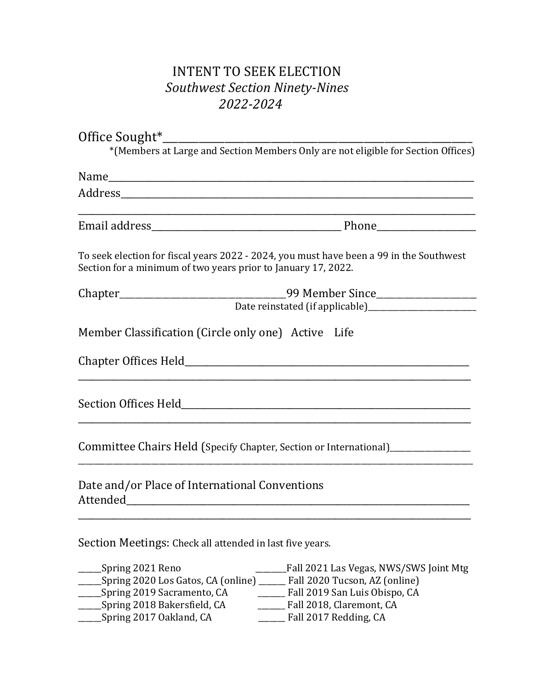## INTENT TO SEEK ELECTION *Southwest Section Ninety-Nines 2022-2024*

|                                                                        | *(Members at Large and Section Members Only are not eligible for Section Offices)       |
|------------------------------------------------------------------------|-----------------------------------------------------------------------------------------|
|                                                                        |                                                                                         |
|                                                                        |                                                                                         |
|                                                                        |                                                                                         |
| Section for a minimum of two years prior to January 17, 2022.          | To seek election for fiscal years 2022 - 2024, you must have been a 99 in the Southwest |
|                                                                        | Chapter___________________________________99 Member Since_______________________        |
|                                                                        |                                                                                         |
| Member Classification (Circle only one) Active Life                    |                                                                                         |
|                                                                        |                                                                                         |
|                                                                        |                                                                                         |
|                                                                        | Committee Chairs Held (Specify Chapter, Section or International)_______________        |
| Date and/or Place of International Conventions                         |                                                                                         |
| Section Meetings: Check all attended in last five years.               |                                                                                         |
| Spring 2021 Reno                                                       | Fall 2021 Las Vegas, NWS/SWS Joint Mtg                                                  |
| Spring 2020 Los Gatos, CA (online) _____ Fall 2020 Tucson, AZ (online) |                                                                                         |
| Spring 2019 Sacramento, CA                                             | Fall 2019 San Luis Obispo, CA                                                           |

\_\_\_\_\_\_Spring 2018 Bakersfield, CA \_\_\_\_\_\_\_ Fall 2018, Claremont, CA  $\frac{2017}{2}$  Oakland, CA